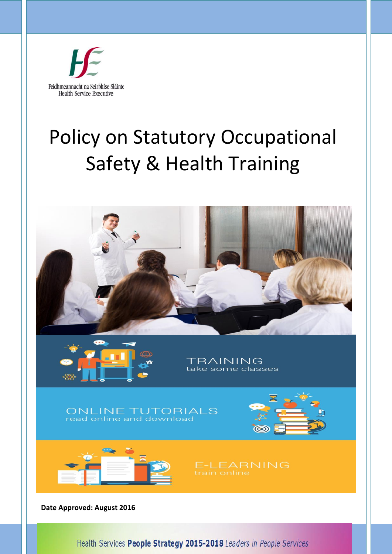

# Policy on Statutory Occupational Safety & Health Training



Health Services People Strategy 2015-2018 Leaders in People Services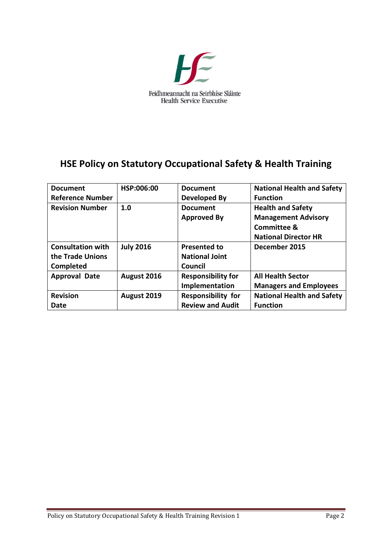

# **HSE Policy on Statutory Occupational Safety & Health Training**

| <b>Document</b>          | HSP:006:00       | <b>Document</b>           | <b>National Health and Safety</b> |
|--------------------------|------------------|---------------------------|-----------------------------------|
| <b>Reference Number</b>  |                  | Developed By              | <b>Function</b>                   |
| <b>Revision Number</b>   | 1.0              | <b>Document</b>           | <b>Health and Safety</b>          |
|                          |                  | <b>Approved By</b>        | <b>Management Advisory</b>        |
|                          |                  |                           | <b>Committee &amp;</b>            |
|                          |                  |                           | <b>National Director HR</b>       |
| <b>Consultation with</b> | <b>July 2016</b> | Presented to              | December 2015                     |
| the Trade Unions         |                  | <b>National Joint</b>     |                                   |
| Completed                |                  | Council                   |                                   |
| <b>Approval Date</b>     | August 2016      | <b>Responsibility for</b> | <b>All Health Sector</b>          |
|                          |                  | Implementation            | <b>Managers and Employees</b>     |
| <b>Revision</b>          | August 2019      | <b>Responsibility for</b> | <b>National Health and Safety</b> |
| Date                     |                  | <b>Review and Audit</b>   | <b>Function</b>                   |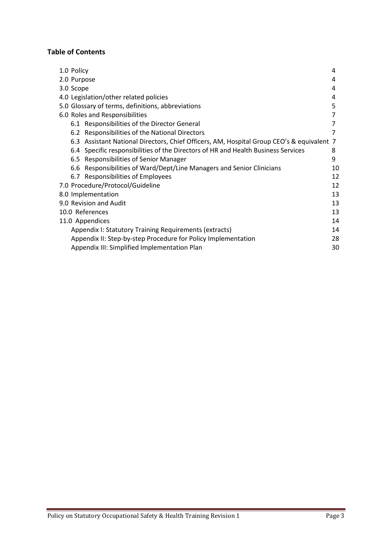# **Table of Contents**

| 1.0 Policy                                                                                | 4  |
|-------------------------------------------------------------------------------------------|----|
| 2.0 Purpose                                                                               | 4  |
| 3.0 Scope                                                                                 | 4  |
| 4.0 Legislation/other related policies                                                    | 4  |
| 5.0 Glossary of terms, definitions, abbreviations                                         | 5  |
| 6.0 Roles and Responsibilities                                                            |    |
| 6.1 Responsibilities of the Director General                                              |    |
| 6.2 Responsibilities of the National Directors                                            | 7  |
| 6.3 Assistant National Directors, Chief Officers, AM, Hospital Group CEO's & equivalent 7 |    |
| 6.4 Specific responsibilities of the Directors of HR and Health Business Services         | 8  |
| 6.5 Responsibilities of Senior Manager                                                    | 9  |
| 6.6 Responsibilities of Ward/Dept/Line Managers and Senior Clinicians                     | 10 |
| 6.7 Responsibilities of Employees                                                         | 12 |
| 7.0 Procedure/Protocol/Guideline                                                          | 12 |
| 8.0 Implementation                                                                        | 13 |
| 9.0 Revision and Audit                                                                    | 13 |
| 10.0 References                                                                           | 13 |
| 11.0 Appendices                                                                           | 14 |
| Appendix I: Statutory Training Requirements (extracts)                                    | 14 |
| Appendix II: Step-by-step Procedure for Policy Implementation                             | 28 |
| Appendix III: Simplified Implementation Plan                                              | 30 |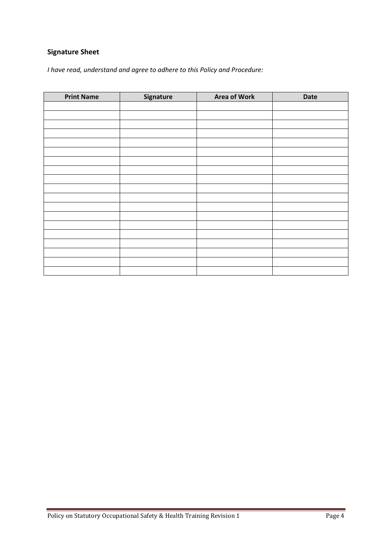# **Signature Sheet**

*I have read, understand and agree to adhere to this Policy and Procedure:*

| <b>Print Name</b> | Signature | <b>Area of Work</b> | Date |
|-------------------|-----------|---------------------|------|
|                   |           |                     |      |
|                   |           |                     |      |
|                   |           |                     |      |
|                   |           |                     |      |
|                   |           |                     |      |
|                   |           |                     |      |
|                   |           |                     |      |
|                   |           |                     |      |
|                   |           |                     |      |
|                   |           |                     |      |
|                   |           |                     |      |
|                   |           |                     |      |
|                   |           |                     |      |
|                   |           |                     |      |
|                   |           |                     |      |
|                   |           |                     |      |
|                   |           |                     |      |
|                   |           |                     |      |
|                   |           |                     |      |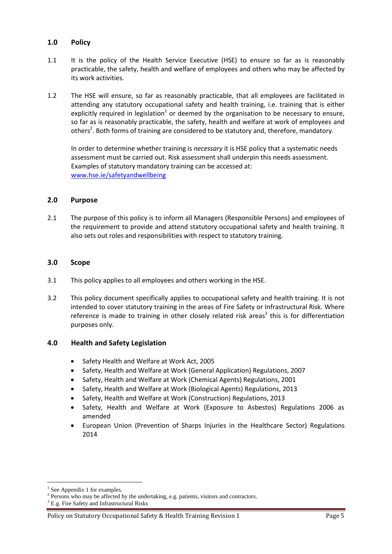#### **1.0 Policy**

- 1.1 It is the policy of the Health Service Executive (HSE) to ensure so far as is reasonably practicable, the safety, health and welfare of employees and others who may be affected by its work activities.
- 1.2 The HSE will ensure, so far as reasonably practicable, that all employees are facilitated in attending any statutory occupational safety and health training, i.e. training that is either explicitly required in legislation<sup>1</sup> or deemed by the organisation to be necessary to ensure, so far as is reasonably practicable, the safety, health and welfare at work of employees and others<sup>2</sup>. Both forms of training are considered to be statutory and, therefore, mandatory.

In order to determine whether training is *necessary* it is HSE policy that a systematic needs assessment must be carried out. Risk assessment shall underpin this needs assessment. Examples of statutory mandatory training can be accessed at: [www.hse.ie/safetyandwellbeing](http://www.hse.ie/safetyandwellbeing)

#### **2.0 Purpose**

2.1 The purpose of this policy is to inform all Managers (Responsible Persons) and employees of the requirement to provide and attend statutory occupational safety and health training. It also sets out roles and responsibilities with respect to statutory training.

#### **3.0 Scope**

- 3.1 This policy applies to all employees and others working in the HSE.
- 3.2 This policy document specifically applies to occupational safety and health training. It is not intended to cover statutory training in the areas of Fire Safety or Infrastructural Risk. Where reference is made to training in other closely related risk areas<sup>3</sup> this is for differentiation purposes only.

#### **4.0 Health and Safety Legislation**

- Safety Health and Welfare at Work Act, 2005
- Safety, Health and Welfare at Work (General Application) Regulations, 2007
- Safety, Health and Welfare at Work (Chemical Agents) Regulations, 2001
- Safety, Health and Welfare at Work (Biological Agents) Regulations, 2013
- Safety, Health and Welfare at Work (Construction) Regulations, 2013
- Safety, Health and Welfare at Work (Exposure to Asbestos) Regulations 2006 as amended
- European Union (Prevention of Sharps Injuries in the Healthcare Sector) Regulations 2014

<sup>&</sup>lt;sup>1</sup> See Appendix 1 for examples.

 $2$  Persons who may be affected by the undertaking, e.g. patients, visitors and contractors.

<sup>&</sup>lt;sup>3</sup> E.g. Fire Safety and Infrastructural Risks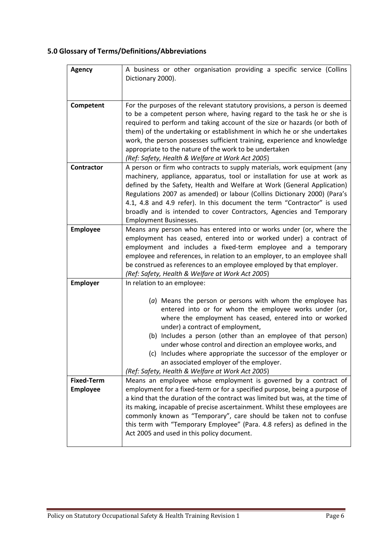# **5.0 Glossary of Terms/Definitions/Abbreviations**

| <b>Agency</b>                        | A business or other organisation providing a specific service (Collins<br>Dictionary 2000).                                                                                                                                                                                                                                                                                                                                                                                                                                                       |
|--------------------------------------|---------------------------------------------------------------------------------------------------------------------------------------------------------------------------------------------------------------------------------------------------------------------------------------------------------------------------------------------------------------------------------------------------------------------------------------------------------------------------------------------------------------------------------------------------|
| Competent                            | For the purposes of the relevant statutory provisions, a person is deemed<br>to be a competent person where, having regard to the task he or she is<br>required to perform and taking account of the size or hazards (or both of<br>them) of the undertaking or establishment in which he or she undertakes<br>work, the person possesses sufficient training, experience and knowledge<br>appropriate to the nature of the work to be undertaken<br>(Ref: Safety, Health & Welfare at Work Act 2005)                                             |
| Contractor                           | A person or firm who contracts to supply materials, work equipment (any<br>machinery, appliance, apparatus, tool or installation for use at work as<br>defined by the Safety, Health and Welfare at Work (General Application)<br>Regulations 2007 as amended) or labour (Collins Dictionary 2000) (Para's<br>4.1, 4.8 and 4.9 refer). In this document the term "Contractor" is used<br>broadly and is intended to cover Contractors, Agencies and Temporary<br><b>Employment Businesses.</b>                                                    |
| <b>Employee</b>                      | Means any person who has entered into or works under (or, where the<br>employment has ceased, entered into or worked under) a contract of<br>employment and includes a fixed-term employee and a temporary<br>employee and references, in relation to an employer, to an employee shall<br>be construed as references to an employee employed by that employer.<br>(Ref: Safety, Health & Welfare at Work Act 2005)                                                                                                                               |
| <b>Employer</b>                      | In relation to an employee:<br>(a) Means the person or persons with whom the employee has<br>entered into or for whom the employee works under (or,<br>where the employment has ceased, entered into or worked<br>under) a contract of employment,<br>(b) Includes a person (other than an employee of that person)<br>under whose control and direction an employee works, and<br>(c) Includes where appropriate the successor of the employer or<br>an associated employer of the employer.<br>(Ref: Safety, Health & Welfare at Work Act 2005) |
| <b>Fixed-Term</b><br><b>Employee</b> | Means an employee whose employment is governed by a contract of<br>employment for a fixed-term or for a specified purpose, being a purpose of<br>a kind that the duration of the contract was limited but was, at the time of<br>its making, incapable of precise ascertainment. Whilst these employees are<br>commonly known as "Temporary", care should be taken not to confuse<br>this term with "Temporary Employee" (Para. 4.8 refers) as defined in the<br>Act 2005 and used in this policy document.                                       |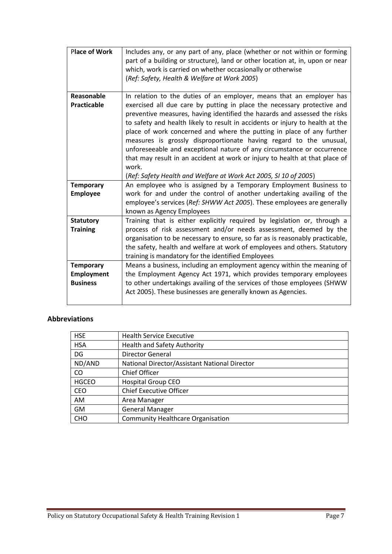| <b>Place of Work</b>      | Includes any, or any part of any, place (whether or not within or forming<br>part of a building or structure), land or other location at, in, upon or near<br>which, work is carried on whether occasionally or otherwise<br>(Ref: Safety, Health & Welfare at Work 2005)                                                                                                                                                                                                                                                                                                                                                                                                                          |
|---------------------------|----------------------------------------------------------------------------------------------------------------------------------------------------------------------------------------------------------------------------------------------------------------------------------------------------------------------------------------------------------------------------------------------------------------------------------------------------------------------------------------------------------------------------------------------------------------------------------------------------------------------------------------------------------------------------------------------------|
| Reasonable<br>Practicable | In relation to the duties of an employer, means that an employer has<br>exercised all due care by putting in place the necessary protective and<br>preventive measures, having identified the hazards and assessed the risks<br>to safety and health likely to result in accidents or injury to health at the<br>place of work concerned and where the putting in place of any further<br>measures is grossly disproportionate having regard to the unusual,<br>unforeseeable and exceptional nature of any circumstance or occurrence<br>that may result in an accident at work or injury to health at that place of<br>work.<br>(Ref: Safety Health and Welfare at Work Act 2005, SI 10 of 2005) |
| <b>Temporary</b>          | An employee who is assigned by a Temporary Employment Business to                                                                                                                                                                                                                                                                                                                                                                                                                                                                                                                                                                                                                                  |
| <b>Employee</b>           | work for and under the control of another undertaking availing of the<br>employee's services (Ref: SHWW Act 2005). These employees are generally<br>known as Agency Employees                                                                                                                                                                                                                                                                                                                                                                                                                                                                                                                      |
| <b>Statutory</b>          | Training that is either explicitly required by legislation or, through a                                                                                                                                                                                                                                                                                                                                                                                                                                                                                                                                                                                                                           |
| <b>Training</b>           | process of risk assessment and/or needs assessment, deemed by the<br>organisation to be necessary to ensure, so far as is reasonably practicable,<br>the safety, health and welfare at work of employees and others. Statutory<br>training is mandatory for the identified Employees                                                                                                                                                                                                                                                                                                                                                                                                               |
| <b>Temporary</b>          | Means a business, including an employment agency within the meaning of                                                                                                                                                                                                                                                                                                                                                                                                                                                                                                                                                                                                                             |
| Employment                | the Employment Agency Act 1971, which provides temporary employees                                                                                                                                                                                                                                                                                                                                                                                                                                                                                                                                                                                                                                 |
| <b>Business</b>           | to other undertakings availing of the services of those employees (SHWW<br>Act 2005). These businesses are generally known as Agencies.                                                                                                                                                                                                                                                                                                                                                                                                                                                                                                                                                            |

# **Abbreviations**

| <b>HSE</b>   | <b>Health Service Executive</b>               |
|--------------|-----------------------------------------------|
| <b>HSA</b>   | <b>Health and Safety Authority</b>            |
| DG           | <b>Director General</b>                       |
| ND/AND       | National Director/Assistant National Director |
| CO.          | <b>Chief Officer</b>                          |
| <b>HGCEO</b> | <b>Hospital Group CEO</b>                     |
| <b>CEO</b>   | <b>Chief Executive Officer</b>                |
| AM.          | Area Manager                                  |
| GM           | <b>General Manager</b>                        |
| <b>CHO</b>   | <b>Community Healthcare Organisation</b>      |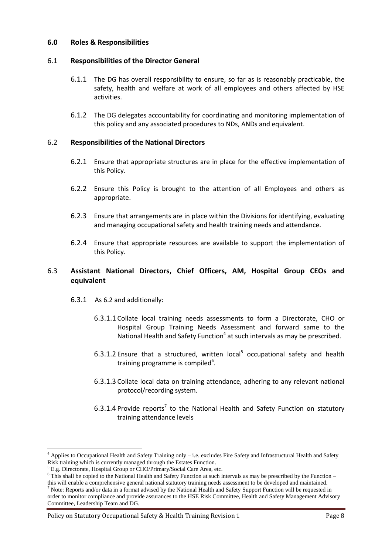#### **6.0 Roles & Responsibilities**

#### 6.1 **Responsibilities of the Director General**

- 6.1.1 The DG has overall responsibility to ensure, so far as is reasonably practicable, the safety, health and welfare at work of all employees and others affected by HSE activities.
- 6.1.2 The DG delegates accountability for coordinating and monitoring implementation of this policy and any associated procedures to NDs, ANDs and equivalent.

#### 6.2 **Responsibilities of the National Directors**

- 6.2.1 Ensure that appropriate structures are in place for the effective implementation of this Policy.
- 6.2.2 Ensure this Policy is brought to the attention of all Employees and others as appropriate.
- 6.2.3 Ensure that arrangements are in place within the Divisions for identifying, evaluating and managing occupational safety and health training needs and attendance.
- 6.2.4 Ensure that appropriate resources are available to support the implementation of this Policy.

#### 6.3 **Assistant National Directors, Chief Officers, AM, Hospital Group CEOs and equivalent**

- 6.3.1 As 6.2 and additionally:
	- 6.3.1.1 Collate local training needs assessments to form a Directorate, CHO or Hospital Group Training Needs Assessment and forward same to the National Health and Safety Function<sup>4</sup> at such intervals as may be prescribed.
	- 6.3.1.2 Ensure that a structured, written local<sup>5</sup> occupational safety and health training programme is compiled<sup>6</sup>.
	- 6.3.1.3 Collate local data on training attendance, adhering to any relevant national protocol/recording system.
	- $6.3.1.4$  Provide reports<sup>7</sup> to the National Health and Safety Function on statutory training attendance levels

<sup>4</sup> Applies to Occupational Health and Safety Training only – i.e. excludes Fire Safety and Infrastructural Health and Safety Risk training which is currently managed through the Estates Function.

<sup>5</sup> E.g. Directorate, Hospital Group or CHO/Primary/Social Care Area, etc.

 $6$  This shall be copied to the National Health and Safety Function at such intervals as may be prescribed by the Function – this will enable a comprehensive general national statutory training needs assessment to be developed and maintained.

<sup>7</sup> Note: Reports and/or data in a format advised by the National Health and Safety Support Function will be requested in order to monitor compliance and provide assurances to the HSE Risk Committee, Health and Safety Management Advisory Committee, Leadership Team and DG.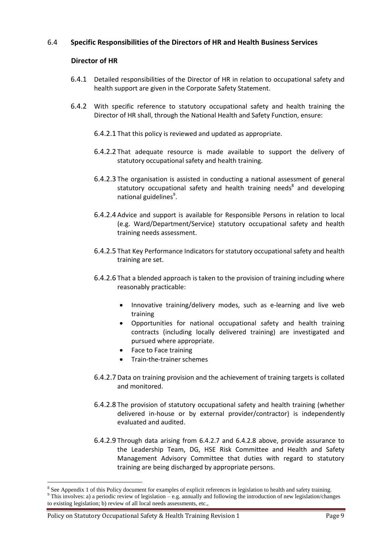#### 6.4 **Specific Responsibilities of the Directors of HR and Health Business Services**

#### **Director of HR**

- 6.4.1 Detailed responsibilities of the Director of HR in relation to occupational safety and health support are given in the Corporate Safety Statement.
- 6.4.2 With specific reference to statutory occupational safety and health training the Director of HR shall, through the National Health and Safety Function, ensure:
	- 6.4.2.1 That this policy is reviewed and updated as appropriate.
	- 6.4.2.2 That adequate resource is made available to support the delivery of statutory occupational safety and health training.
	- 6.4.2.3 The organisation is assisted in conducting a national assessment of general statutory occupational safety and health training needs<sup>8</sup> and developing national guidelines<sup>9</sup>.
	- 6.4.2.4 Advice and support is available for Responsible Persons in relation to local (e.g. Ward/Department/Service) statutory occupational safety and health training needs assessment.
	- 6.4.2.5 That Key Performance Indicators for statutory occupational safety and health training are set.
	- 6.4.2.6 That a blended approach is taken to the provision of training including where reasonably practicable:
		- Innovative training/delivery modes, such as e-learning and live web training
		- Opportunities for national occupational safety and health training contracts (including locally delivered training) are investigated and pursued where appropriate.
		- Face to Face training
		- Train-the-trainer schemes
	- 6.4.2.7 Data on training provision and the achievement of training targets is collated and monitored.
	- 6.4.2.8 The provision of statutory occupational safety and health training (whether delivered in-house or by external provider/contractor) is independently evaluated and audited.
	- 6.4.2.9 Through data arising from 6.4.2.7 and 6.4.2.8 above, provide assurance to the Leadership Team, DG, HSE Risk Committee and Health and Safety Management Advisory Committee that duties with regard to statutory training are being discharged by appropriate persons.

<sup>&</sup>lt;sup>8</sup> See Appendix 1 of this Policy document for examples of explicit references in legislation to health and safety training. <sup>9</sup> This involves: a) a periodic review of legislation – e.g. annually and following the introduction of new legislation/changes to existing legislation; b) review of all local needs assessments, etc.,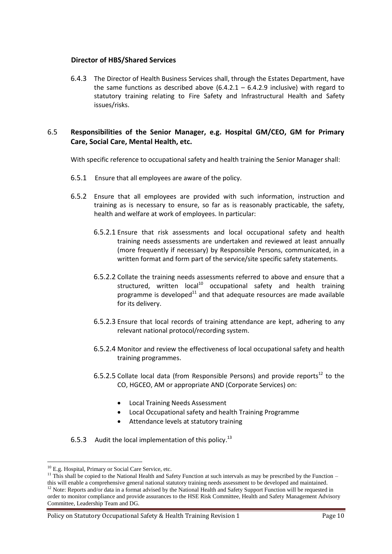#### **Director of HBS/Shared Services**

6.4.3 The Director of Health Business Services shall, through the Estates Department, have the same functions as described above  $(6.4.2.1 - 6.4.2.9)$  inclusive) with regard to statutory training relating to Fire Safety and Infrastructural Health and Safety issues/risks.

#### 6.5 **Responsibilities of the Senior Manager, e.g. Hospital GM/CEO, GM for Primary Care, Social Care, Mental Health, etc.**

With specific reference to occupational safety and health training the Senior Manager shall:

- 6.5.1 Ensure that all employees are aware of the policy.
- 6.5.2 Ensure that all employees are provided with such information, instruction and training as is necessary to ensure, so far as is reasonably practicable, the safety, health and welfare at work of employees. In particular:
	- 6.5.2.1 Ensure that risk assessments and local occupational safety and health training needs assessments are undertaken and reviewed at least annually (more frequently if necessary) by Responsible Persons, communicated, in a written format and form part of the service/site specific safety statements.
	- 6.5.2.2 Collate the training needs assessments referred to above and ensure that a structured, written  $local^{10}$  occupational safety and health training programme is developed $11$  and that adequate resources are made available for its delivery.
	- 6.5.2.3 Ensure that local records of training attendance are kept, adhering to any relevant national protocol/recording system.
	- 6.5.2.4 Monitor and review the effectiveness of local occupational safety and health training programmes.
	- 6.5.2.5 Collate local data (from Responsible Persons) and provide reports<sup>12</sup> to the CO, HGCEO, AM or appropriate AND (Corporate Services) on:
		- Local Training Needs Assessment
		- Local Occupational safety and health Training Programme
		- Attendance levels at statutory training
- 6.5.3 Audit the local implementation of this policy.<sup>13</sup>

<sup>&</sup>lt;sup>10</sup> E.g. Hospital, Primary or Social Care Service, etc.

 $11$  This shall be copied to the National Health and Safety Function at such intervals as may be prescribed by the Function – this will enable a comprehensive general national statutory training needs assessment to be developed and maintained.

 $12$  Note: Reports and/or data in a format advised by the National Health and Safety Support Function will be requested in order to monitor compliance and provide assurances to the HSE Risk Committee, Health and Safety Management Advisory Committee, Leadership Team and DG.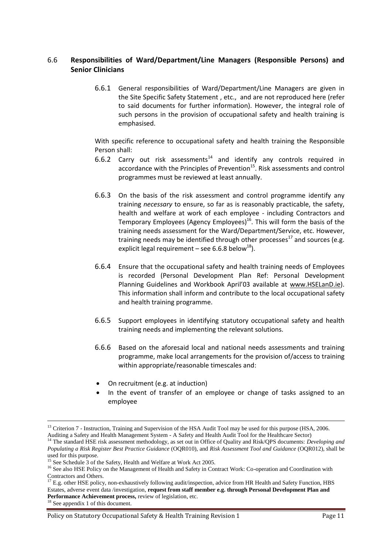#### 6.6 **Responsibilities of Ward/Department/Line Managers (Responsible Persons) and Senior Clinicians**

6.6.1 General responsibilities of Ward/Department/Line Managers are given in the Site Specific Safety Statement , etc., and are not reproduced here (refer to said documents for further information). However, the integral role of such persons in the provision of occupational safety and health training is emphasised.

With specific reference to occupational safety and health training the Responsible Person shall:

- 6.6.2 Carry out risk assessments<sup>14</sup> and identify any controls required in accordance with the Principles of Prevention<sup>15</sup>. Risk assessments and control programmes must be reviewed at least annually.
- 6.6.3 On the basis of the risk assessment and control programme identify any training *necessary* to ensure, so far as is reasonably practicable, the safety, health and welfare at work of each employee - including Contractors and Temporary Employees (Agency Employees)<sup>16</sup>. This will form the basis of the training needs assessment for the Ward/Department/Service, etc. However, training needs may be identified through other processes<sup>17</sup> and sources (e.g. explicit legal requirement – see 6.6.8 below<sup>18</sup>).
- 6.6.4 Ensure that the occupational safety and health training needs of Employees is recorded (Personal Development Plan Ref: Personal Development Planning Guidelines and Workbook April'03 available at [www.HSELanD.ie\)](http://www.hseland.ie/). This information shall inform and contribute to the local occupational safety and health training programme.
- 6.6.5 Support employees in identifying statutory occupational safety and health training needs and implementing the relevant solutions.
- 6.6.6 Based on the aforesaid local and national needs assessments and training programme, make local arrangements for the provision of/access to training within appropriate/reasonable timescales and:
- On recruitment (e.g. at induction)
- In the event of transfer of an employee or change of tasks assigned to an employee

<sup>&</sup>lt;sup>13</sup> Criterion 7 - Instruction, Training and Supervision of the HSA Audit Tool may be used for this purpose (HSA, 2006. Auditing a Safety and Health Management System - A Safety and Health Audit Tool for the Healthcare Sector)

<sup>&</sup>lt;sup>14</sup> The standard HSE risk assessment methodology, as set out in Office of Quality and Risk/QPS documents: *Developing and Populating a Risk Register Best Practice Guidance* (OQR010), and *Risk Assessment Tool and Guidance* (OQR012), shall be used for this purpose.

<sup>&</sup>lt;sup>15</sup> See Schedule 3 of the Safety, Health and Welfare at Work Act 2005.

<sup>&</sup>lt;sup>16</sup> See also HSE Policy on the Management of Health and Safety in Contract Work: Co-operation and Coordination with Contractors and Others.

<sup>17</sup> E.g. other HSE policy, non-exhaustively following audit/inspection, advice from HR Health and Safety Function, HBS Estates, adverse event data /investigation, **request from staff member e.g. through Personal Development Plan and Performance Achievement process,** review of legislation, etc.

<sup>&</sup>lt;sup>18</sup> See appendix 1 of this document.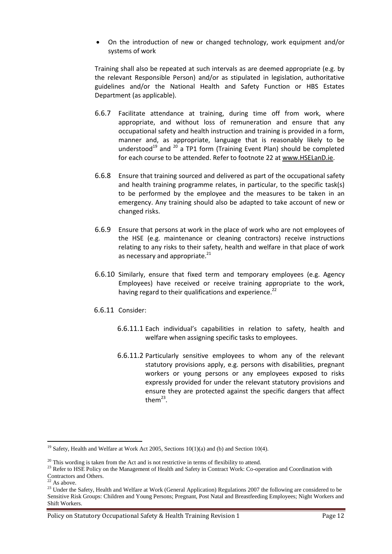On the introduction of new or changed technology, work equipment and/or systems of work

Training shall also be repeated at such intervals as are deemed appropriate (e.g. by the relevant Responsible Person) and/or as stipulated in legislation, authoritative guidelines and/or the National Health and Safety Function or HBS Estates Department (as applicable).

- 6.6.7 Facilitate attendance at training, during time off from work, where appropriate, and without loss of remuneration and ensure that any occupational safety and health instruction and training is provided in a form, manner and, as appropriate, language that is reasonably likely to be understood<sup>19</sup> and  $^{20}$  a TP1 form (Training Event Plan) should be completed for each course to be attended. Refer to footnote 22 at [www.HSELanD.ie.](http://www.hseland.ie/)
- 6.6.8 Ensure that training sourced and delivered as part of the occupational safety and health training programme relates, in particular, to the specific task(s) to be performed by the employee and the measures to be taken in an emergency. Any training should also be adapted to take account of new or changed risks.
- 6.6.9 Ensure that persons at work in the place of work who are not employees of the HSE (e.g. maintenance or cleaning contractors) receive instructions relating to any risks to their safety, health and welfare in that place of work as necessary and appropriate. $^{21}$
- 6.6.10 Similarly, ensure that fixed term and temporary employees (e.g. Agency Employees) have received or receive training appropriate to the work, having regard to their qualifications and experience. $^{22}$
- 6.6.11 Consider:
	- 6.6.11.1 Each individual's capabilities in relation to safety, health and welfare when assigning specific tasks to employees.
	- 6.6.11.2 Particularly sensitive employees to whom any of the relevant statutory provisions apply, e.g. persons with disabilities, pregnant workers or young persons or any employees exposed to risks expressly provided for under the relevant statutory provisions and ensure they are protected against the specific dangers that affect them $^{23}$ .

 $<sup>2</sup>$  As above.</sup>

<sup>&</sup>lt;sup>19</sup> Safety, Health and Welfare at Work Act 2005, Sections 10(1)(a) and (b) and Section 10(4).

 $20$  This wording is taken from the Act and is not restrictive in terms of flexibility to attend.

<sup>&</sup>lt;sup>23</sup> Refer to HSE Policy on the Management of Health and Safety in Contract Work: Co-operation and Coordination with Contractors and Others.

<sup>&</sup>lt;sup>23</sup> Under the Safety, Health and Welfare at Work (General Application) Regulations 2007 the following are considered to be Sensitive Risk Groups: Children and Young Persons; Pregnant, Post Natal and Breastfeeding Employees; Night Workers and Shift Workers.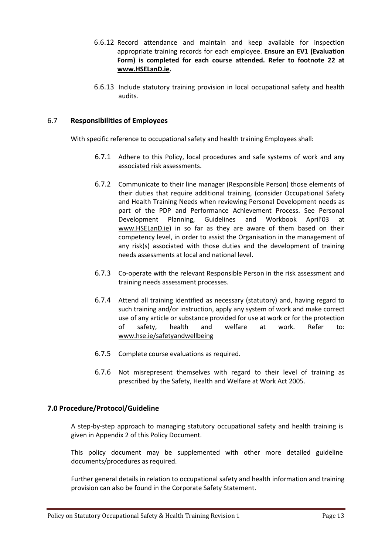- 6.6.12 Record attendance and maintain and keep available for inspection appropriate training records for each employee. **Ensure an EV1 (Evaluation Form) is completed for each course attended. Refer to footnote 22 at [www.HSELanD.ie.](http://www.hseland.ie/)**
- 6.6.13 Include statutory training provision in local occupational safety and health audits.

#### 6.7 **Responsibilities of Employees**

With specific reference to occupational safety and health training Employees shall:

- 6.7.1 Adhere to this Policy, local procedures and safe systems of work and any associated risk assessments.
- 6.7.2 Communicate to their line manager (Responsible Person) those elements of their duties that require additional training, (consider Occupational Safety and Health Training Needs when reviewing Personal Development needs as part of the PDP and Performance Achievement Process. See Personal Development Planning, Guidelines and Workbook April'03 at [www.HSELanD.ie\)](http://www.hseland.ie/) in so far as they are aware of them based on their competency level, in order to assist the Organisation in the management of any risk(s) associated with those duties and the development of training needs assessments at local and national level.
- 6.7.3 Co-operate with the relevant Responsible Person in the risk assessment and training needs assessment processes.
- 6.7.4 Attend all training identified as necessary (statutory) and, having regard to such training and/or instruction, apply any system of work and make correct use of any article or substance provided for use at work or for the protection of safety, health and welfare at work. Refer to: [www.hse.ie/safetyandwellbeing](http://www.hse.ie/safetyandwellbeing)
- 6.7.5 Complete course evaluations as required.
- 6.7.6 Not misrepresent themselves with regard to their level of training as prescribed by the Safety, Health and Welfare at Work Act 2005.

#### **7.0 Procedure/Protocol/Guideline**

A step-by-step approach to managing statutory occupational safety and health training is given in Appendix 2 of this Policy Document.

This policy document may be supplemented with other more detailed guideline documents/procedures as required.

Further general details in relation to occupational safety and health information and training provision can also be found in the Corporate Safety Statement.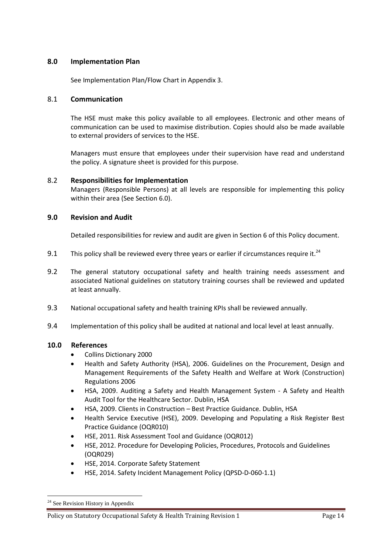#### **8.0 Implementation Plan**

See Implementation Plan/Flow Chart in Appendix 3.

#### 8.1 **Communication**

The HSE must make this policy available to all employees. Electronic and other means of communication can be used to maximise distribution. Copies should also be made available to external providers of services to the HSE.

Managers must ensure that employees under their supervision have read and understand the policy. A signature sheet is provided for this purpose.

#### 8.2 **Responsibilities for Implementation**

Managers (Responsible Persons) at all levels are responsible for implementing this policy within their area (See Section 6.0).

#### **9.0 Revision and Audit**

Detailed responsibilities for review and audit are given in Section 6 of this Policy document.

- 9.1 This policy shall be reviewed every three years or earlier if circumstances require it. $^{24}$
- 9.2 The general statutory occupational safety and health training needs assessment and associated National guidelines on statutory training courses shall be reviewed and updated at least annually.
- 9.3 National occupational safety and health training KPIs shall be reviewed annually.
- 9.4 Implementation of this policy shall be audited at national and local level at least annually.

#### **10.0 References**

- Collins Dictionary 2000
- Health and Safety Authority (HSA), 2006. Guidelines on the Procurement, Design and Management Requirements of the Safety Health and Welfare at Work (Construction) Regulations 2006
- HSA, 2009. Auditing a Safety and Health Management System A Safety and Health Audit Tool for the Healthcare Sector. Dublin, HSA
- HSA, 2009. Clients in Construction Best Practice Guidance. Dublin, HSA
- Health Service Executive (HSE), 2009. Developing and Populating a Risk Register Best Practice Guidance (OQR010)
- HSE, 2011. Risk Assessment Tool and Guidance (OQR012)
- HSE, 2012. Procedure for Developing Policies, Procedures, Protocols and Guidelines (OQR029)
- HSE, 2014. Corporate Safety Statement
- HSE, 2014. Safety Incident Management Policy (QPSD-D-060-1.1)

<sup>&</sup>lt;sup>24</sup> See Revision History in Appendix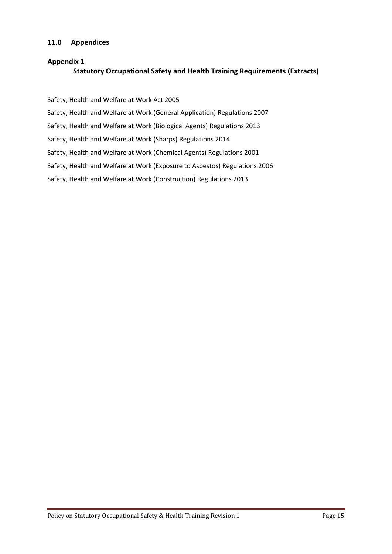#### **11.0 Appendices**

# **Appendix 1 Statutory Occupational Safety and Health Training Requirements (Extracts)**

Safety, Health and Welfare at Work Act 2005

Safety, Health and Welfare at Work (General Application) Regulations 2007

Safety, Health and Welfare at Work (Biological Agents) Regulations 2013

Safety, Health and Welfare at Work (Sharps) Regulations 2014

Safety, Health and Welfare at Work (Chemical Agents) Regulations 2001

Safety, Health and Welfare at Work (Exposure to Asbestos) Regulations 2006

Safety, Health and Welfare at Work (Construction) Regulations 2013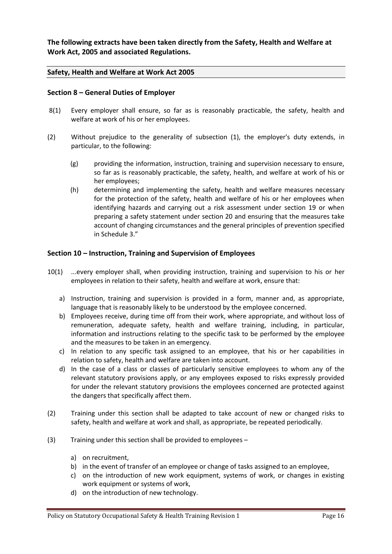**The following extracts have been taken directly from the Safety, Health and Welfare at Work Act, 2005 and associated Regulations.** 

#### **Safety, Health and Welfare at Work Act 2005**

#### **Section 8 – General Duties of Employer**

- 8(1) Every employer shall ensure, so far as is reasonably practicable, the safety, health and welfare at work of his or her employees.
- (2) Without prejudice to the generality of subsection (1), the employer's duty extends, in particular, to the following:
	- (g) providing the information, instruction, training and supervision necessary to ensure, so far as is reasonably practicable, the safety, health, and welfare at work of his or her employees;
	- (h) determining and implementing the safety, health and welfare measures necessary for the protection of the safety, health and welfare of his or her employees when identifying hazards and carrying out a risk assessment under section 19 or when preparing a safety statement under section 20 and ensuring that the measures take account of changing circumstances and the general principles of prevention specified in Schedule 3."

#### **Section 10 – Instruction, Training and Supervision of Employees**

- 10(1) ...every employer shall, when providing instruction, training and supervision to his or her employees in relation to their safety, health and welfare at work, ensure that:
	- a) Instruction, training and supervision is provided in a form, manner and, as appropriate, language that is reasonably likely to be understood by the employee concerned.
	- b) Employees receive, during time off from their work, where appropriate, and without loss of remuneration, adequate safety, health and welfare training, including, in particular, information and instructions relating to the specific task to be performed by the employee and the measures to be taken in an emergency.
	- c) In relation to any specific task assigned to an employee, that his or her capabilities in relation to safety, health and welfare are taken into account.
	- d) In the case of a class or classes of particularly sensitive employees to whom any of the relevant statutory provisions apply, or any employees exposed to risks expressly provided for under the relevant statutory provisions the employees concerned are protected against the dangers that specifically affect them.
- (2) Training under this section shall be adapted to take account of new or changed risks to safety, health and welfare at work and shall, as appropriate, be repeated periodically.
- (3) Training under this section shall be provided to employees
	- a) on recruitment,
	- b) in the event of transfer of an employee or change of tasks assigned to an employee,
	- c) on the introduction of new work equipment, systems of work, or changes in existing work equipment or systems of work,
	- d) on the introduction of new technology.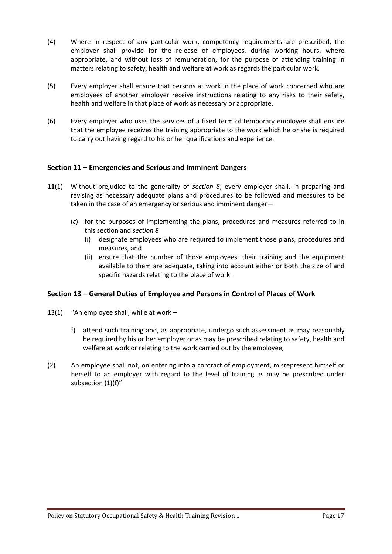- (4) Where in respect of any particular work, competency requirements are prescribed, the employer shall provide for the release of employees, during working hours, where appropriate, and without loss of remuneration, for the purpose of attending training in matters relating to safety, health and welfare at work as regards the particular work.
- (5) Every employer shall ensure that persons at work in the place of work concerned who are employees of another employer receive instructions relating to any risks to their safety, health and welfare in that place of work as necessary or appropriate.
- (6) Every employer who uses the services of a fixed term of temporary employee shall ensure that the employee receives the training appropriate to the work which he or she is required to carry out having regard to his or her qualifications and experience.

#### **Section 11 – Emergencies and Serious and Imminent Dangers**

- **11**(1) Without prejudice to the generality of *section 8*, every employer shall, in preparing and revising as necessary adequate plans and procedures to be followed and measures to be taken in the case of an emergency or serious and imminent danger—
	- (*c*) for the purposes of implementing the plans, procedures and measures referred to in this section and *section 8*
		- (i) designate employees who are required to implement those plans, procedures and measures, and
		- (ii) ensure that the number of those employees, their training and the equipment available to them are adequate, taking into account either or both the size of and specific hazards relating to the place of work.

#### **Section 13 – General Duties of Employee and Persons in Control of Places of Work**

- 13(1) "An employee shall, while at work
	- f) attend such training and, as appropriate, undergo such assessment as may reasonably be required by his or her employer or as may be prescribed relating to safety, health and welfare at work or relating to the work carried out by the employee,
- (2) An employee shall not, on entering into a contract of employment, misrepresent himself or herself to an employer with regard to the level of training as may be prescribed under subsection (1)(f)"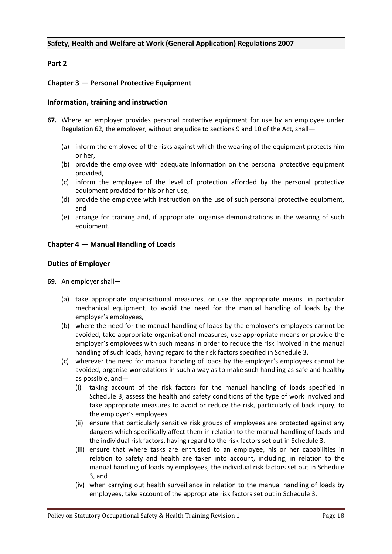#### **Safety, Health and Welfare at Work (General Application) Regulations 2007**

#### **Part 2**

#### **Chapter 3 — Personal Protective Equipment**

#### **Information, training and instruction**

- **67.** Where an employer provides personal protective equipment for use by an employee under Regulation 62, the employer, without prejudice to sections 9 and 10 of the Act, shall—
	- (a) inform the employee of the risks against which the wearing of the equipment protects him or her,
	- (b) provide the employee with adequate information on the personal protective equipment provided,
	- (c) inform the employee of the level of protection afforded by the personal protective equipment provided for his or her use,
	- (d) provide the employee with instruction on the use of such personal protective equipment, and
	- (e) arrange for training and, if appropriate, organise demonstrations in the wearing of such equipment.

#### **Chapter 4 — Manual Handling of Loads**

#### **Duties of Employer**

- **69.** An employer shall—
	- (a) take appropriate organisational measures, or use the appropriate means, in particular mechanical equipment, to avoid the need for the manual handling of loads by the employer's employees,
	- (b) where the need for the manual handling of loads by the employer's employees cannot be avoided, take appropriate organisational measures, use appropriate means or provide the employer's employees with such means in order to reduce the risk involved in the manual handling of such loads, having regard to the risk factors specified in Schedule 3,
	- (c) wherever the need for manual handling of loads by the employer's employees cannot be avoided, organise workstations in such a way as to make such handling as safe and healthy as possible, and—
		- (i) taking account of the risk factors for the manual handling of loads specified in Schedule 3, assess the health and safety conditions of the type of work involved and take appropriate measures to avoid or reduce the risk, particularly of back injury, to the employer's employees,
		- (ii) ensure that particularly sensitive risk groups of employees are protected against any dangers which specifically affect them in relation to the manual handling of loads and the individual risk factors, having regard to the risk factors set out in Schedule 3,
		- (iii) ensure that where tasks are entrusted to an employee, his or her capabilities in relation to safety and health are taken into account, including, in relation to the manual handling of loads by employees, the individual risk factors set out in Schedule 3, and
		- (iv) when carrying out health surveillance in relation to the manual handling of loads by employees, take account of the appropriate risk factors set out in Schedule 3,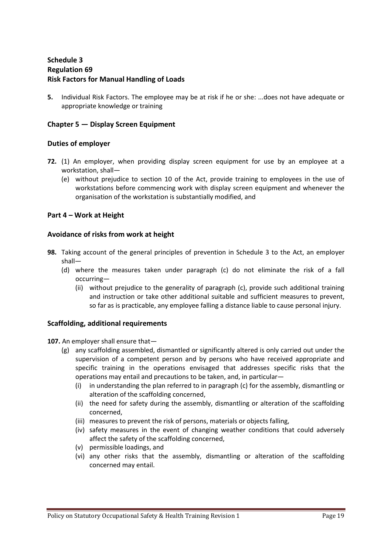## **Schedule 3 Regulation 69 Risk Factors for Manual Handling of Loads**

**5.** Individual Risk Factors. The employee may be at risk if he or she: ...does not have adequate or appropriate knowledge or training

#### **Chapter 5 — Display Screen Equipment**

#### **Duties of employer**

- **72.** (1) An employer, when providing display screen equipment for use by an employee at a workstation, shall—
	- (e) without prejudice to section 10 of the Act, provide training to employees in the use of workstations before commencing work with display screen equipment and whenever the organisation of the workstation is substantially modified, and

#### **Part 4 – Work at Height**

#### **Avoidance of risks from work at height**

- **98.** Taking account of the general principles of prevention in Schedule 3 to the Act, an employer shall—
	- (d) where the measures taken under paragraph (c) do not eliminate the risk of a fall occurring—
		- (ii) without prejudice to the generality of paragraph (c), provide such additional training and instruction or take other additional suitable and sufficient measures to prevent, so far as is practicable, any employee falling a distance liable to cause personal injury.

#### **Scaffolding, additional requirements**

107. An employer shall ensure that-

- (g) any scaffolding assembled, dismantled or significantly altered is only carried out under the supervision of a competent person and by persons who have received appropriate and specific training in the operations envisaged that addresses specific risks that the operations may entail and precautions to be taken, and, in particular—
	- (i) in understanding the plan referred to in paragraph (c) for the assembly, dismantling or alteration of the scaffolding concerned,
	- (ii) the need for safety during the assembly, dismantling or alteration of the scaffolding concerned,
	- (iii) measures to prevent the risk of persons, materials or objects falling,
	- (iv) safety measures in the event of changing weather conditions that could adversely affect the safety of the scaffolding concerned,
	- (v) permissible loadings, and
	- (vi) any other risks that the assembly, dismantling or alteration of the scaffolding concerned may entail.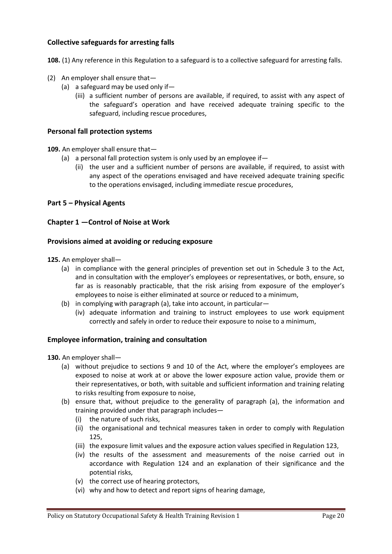#### **Collective safeguards for arresting falls**

**108.** (1) Any reference in this Regulation to a safeguard is to a collective safeguard for arresting falls.

- (2) An employer shall ensure that—
	- (a) a safeguard may be used only if—
		- (iii) a sufficient number of persons are available, if required, to assist with any aspect of the safeguard's operation and have received adequate training specific to the safeguard, including rescue procedures,

#### **Personal fall protection systems**

**109.** An employer shall ensure that—

- (a) a personal fall protection system is only used by an employee if  $-$ 
	- (ii) the user and a sufficient number of persons are available, if required, to assist with any aspect of the operations envisaged and have received adequate training specific to the operations envisaged, including immediate rescue procedures,

#### **Part 5 – Physical Agents**

#### **Chapter 1 —Control of Noise at Work**

#### **Provisions aimed at avoiding or reducing exposure**

- **125.** An employer shall—
	- (a) in compliance with the general principles of prevention set out in Schedule 3 to the Act, and in consultation with the employer's employees or representatives, or both, ensure, so far as is reasonably practicable, that the risk arising from exposure of the employer's employees to noise is either eliminated at source or reduced to a minimum,
	- (b) in complying with paragraph (a), take into account, in particular—
		- (iv) adequate information and training to instruct employees to use work equipment correctly and safely in order to reduce their exposure to noise to a minimum,

#### **Employee information, training and consultation**

- **130.** An employer shall—
	- (a) without prejudice to sections 9 and 10 of the Act, where the employer's employees are exposed to noise at work at or above the lower exposure action value, provide them or their representatives, or both, with suitable and sufficient information and training relating to risks resulting from exposure to noise,
	- (b) ensure that, without prejudice to the generality of paragraph (a), the information and training provided under that paragraph includes—
		- (i) the nature of such risks,
		- (ii) the organisational and technical measures taken in order to comply with Regulation 125,
		- (iii) the exposure limit values and the exposure action values specified in Regulation 123,
		- (iv) the results of the assessment and measurements of the noise carried out in accordance with Regulation 124 and an explanation of their significance and the potential risks,
		- (v) the correct use of hearing protectors,
		- (vi) why and how to detect and report signs of hearing damage,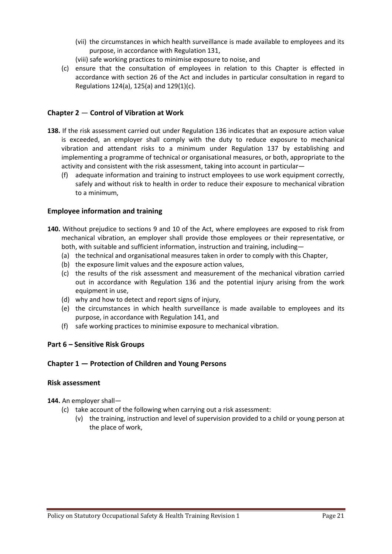- (vii) the circumstances in which health surveillance is made available to employees and its purpose, in accordance with Regulation 131,
- (viii) safe working practices to minimise exposure to noise, and
- (c) ensure that the consultation of employees in relation to this Chapter is effected in accordance with section 26 of the Act and includes in particular consultation in regard to Regulations 124(a), 125(a) and 129(1)(c).

#### **Chapter 2** — **Control of Vibration at Work**

- **138.** If the risk assessment carried out under Regulation 136 indicates that an exposure action value is exceeded, an employer shall comply with the duty to reduce exposure to mechanical vibration and attendant risks to a minimum under Regulation 137 by establishing and implementing a programme of technical or organisational measures, or both, appropriate to the activity and consistent with the risk assessment, taking into account in particular—
	- (f) adequate information and training to instruct employees to use work equipment correctly, safely and without risk to health in order to reduce their exposure to mechanical vibration to a minimum,

#### **Employee information and training**

- **140.** Without prejudice to sections 9 and 10 of the Act, where employees are exposed to risk from mechanical vibration, an employer shall provide those employees or their representative, or both, with suitable and sufficient information, instruction and training, including—
	- (a) the technical and organisational measures taken in order to comply with this Chapter,
	- (b) the exposure limit values and the exposure action values,
	- (c) the results of the risk assessment and measurement of the mechanical vibration carried out in accordance with Regulation 136 and the potential injury arising from the work equipment in use,
	- (d) why and how to detect and report signs of injury,
	- (e) the circumstances in which health surveillance is made available to employees and its purpose, in accordance with Regulation 141, and
	- (f) safe working practices to minimise exposure to mechanical vibration.

#### **Part 6 – Sensitive Risk Groups**

#### **Chapter 1 — Protection of Children and Young Persons**

#### **Risk assessment**

**144.** An employer shall—

- (c) take account of the following when carrying out a risk assessment:
	- (v) the training, instruction and level of supervision provided to a child or young person at the place of work,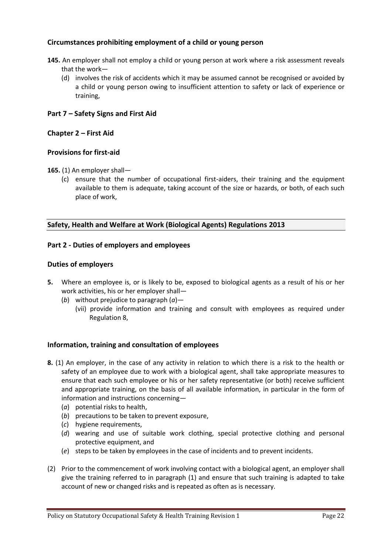#### **Circumstances prohibiting employment of a child or young person**

- **145.** An employer shall not employ a child or young person at work where a risk assessment reveals that the work—
	- (d) involves the risk of accidents which it may be assumed cannot be recognised or avoided by a child or young person owing to insufficient attention to safety or lack of experience or training,

#### **Part 7 – Safety Signs and First Aid**

#### **Chapter 2 – First Aid**

#### **Provisions for first-aid**

- **165.** (1) An employer shall—
	- (c) ensure that the number of occupational first-aiders, their training and the equipment available to them is adequate, taking account of the size or hazards, or both, of each such place of work,

#### **Safety, Health and Welfare at Work (Biological Agents) Regulations 2013**

#### **Part 2 - Duties of employers and employees**

#### **Duties of employers**

- **5.** Where an employee is, or is likely to be, exposed to biological agents as a result of his or her work activities, his or her employer shall—
	- (*b*) without prejudice to paragraph (*a*)—
		- (vii) provide information and training and consult with employees as required under Regulation 8,

#### **Information, training and consultation of employees**

- **8.** (1) An employer, in the case of any activity in relation to which there is a risk to the health or safety of an employee due to work with a biological agent, shall take appropriate measures to ensure that each such employee or his or her safety representative (or both) receive sufficient and appropriate training, on the basis of all available information, in particular in the form of information and instructions concerning—
	- (*a*) potential risks to health,
	- (*b*) precautions to be taken to prevent exposure,
	- (*c*) hygiene requirements,
	- (*d*) wearing and use of suitable work clothing, special protective clothing and personal protective equipment, and
	- (*e*) steps to be taken by employees in the case of incidents and to prevent incidents.
- (2) Prior to the commencement of work involving contact with a biological agent, an employer shall give the training referred to in paragraph (1) and ensure that such training is adapted to take account of new or changed risks and is repeated as often as is necessary.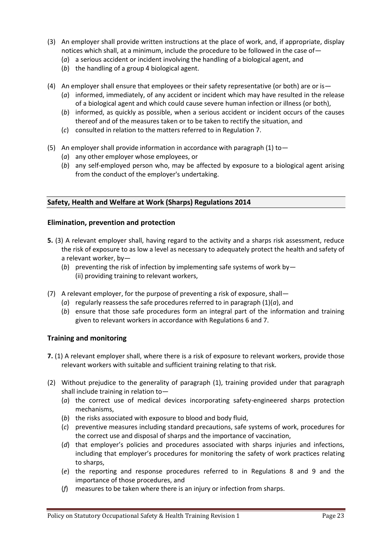- (3) An employer shall provide written instructions at the place of work, and, if appropriate, display notices which shall, at a minimum, include the procedure to be followed in the case of—
	- (*a*) a serious accident or incident involving the handling of a biological agent, and
	- (*b*) the handling of a group 4 biological agent.
- (4) An employer shall ensure that employees or their safety representative (or both) are or is—
	- (*a*) informed, immediately, of any accident or incident which may have resulted in the release of a biological agent and which could cause severe human infection or illness (or both),
	- (*b*) informed, as quickly as possible, when a serious accident or incident occurs of the causes thereof and of the measures taken or to be taken to rectify the situation, and
	- (*c*) consulted in relation to the matters referred to in Regulation 7.
- (5) An employer shall provide information in accordance with paragraph (1) to  $-$ 
	- (*a*) any other employer whose employees, or
	- (*b*) any self-employed person who, may be affected by exposure to a biological agent arising from the conduct of the employer's undertaking.

#### **Safety, Health and Welfare at Work (Sharps) Regulations 2014**

#### **Elimination, prevention and protection**

- **5.** (3) A relevant employer shall, having regard to the activity and a sharps risk assessment, reduce the risk of exposure to as low a level as necessary to adequately protect the health and safety of a relevant worker, by—
	- (*b*) preventing the risk of infection by implementing safe systems of work by— (ii) providing training to relevant workers,
- (7) A relevant employer, for the purpose of preventing a risk of exposure, shall—
	- (*a*) regularly reassess the safe procedures referred to in paragraph (1)(*a*), and
	- (*b*) ensure that those safe procedures form an integral part of the information and training given to relevant workers in accordance with Regulations 6 and 7.

#### **Training and monitoring**

- **7.** (1) A relevant employer shall, where there is a risk of exposure to relevant workers, provide those relevant workers with suitable and sufficient training relating to that risk.
- (2) Without prejudice to the generality of paragraph (1), training provided under that paragraph shall include training in relation to—
	- (*a*) the correct use of medical devices incorporating safety-engineered sharps protection mechanisms,
	- (*b*) the risks associated with exposure to blood and body fluid,
	- (*c*) preventive measures including standard precautions, safe systems of work, procedures for the correct use and disposal of sharps and the importance of vaccination,
	- (*d*) that employer's policies and procedures associated with sharps injuries and infections, including that employer's procedures for monitoring the safety of work practices relating to sharps,
	- (*e*) the reporting and response procedures referred to in Regulations 8 and 9 and the importance of those procedures, and
	- (*f*) measures to be taken where there is an injury or infection from sharps.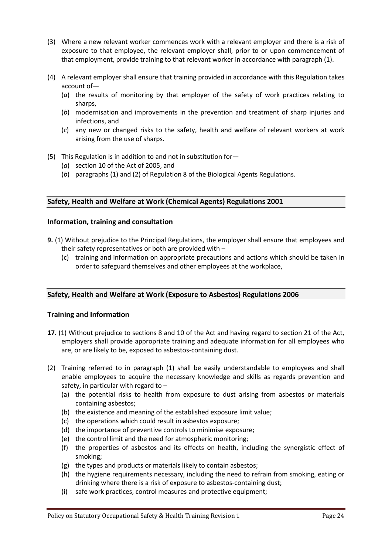- (3) Where a new relevant worker commences work with a relevant employer and there is a risk of exposure to that employee, the relevant employer shall, prior to or upon commencement of that employment, provide training to that relevant worker in accordance with paragraph (1).
- (4) A relevant employer shall ensure that training provided in accordance with this Regulation takes account of—
	- (*a*) the results of monitoring by that employer of the safety of work practices relating to sharps,
	- (*b*) modernisation and improvements in the prevention and treatment of sharp injuries and infections, and
	- (*c*) any new or changed risks to the safety, health and welfare of relevant workers at work arising from the use of sharps.
- (5) This Regulation is in addition to and not in substitution for—
	- (*a*) section 10 of the Act of 2005, and
	- (*b*) paragraphs (1) and (2) of Regulation 8 of the Biological Agents Regulations.

#### **Safety, Health and Welfare at Work (Chemical Agents) Regulations 2001**

#### **Information, training and consultation**

- **9.** (1) Without prejudice to the Principal Regulations, the employer shall ensure that employees and their safety representatives or both are provided with –
	- (c) training and information on appropriate precautions and actions which should be taken in order to safeguard themselves and other employees at the workplace,

#### **Safety, Health and Welfare at Work (Exposure to Asbestos) Regulations 2006**

#### **Training and Information**

- **17.** (1) Without prejudice to sections 8 and 10 of the Act and having regard to section 21 of the Act, employers shall provide appropriate training and adequate information for all employees who are, or are likely to be, exposed to asbestos-containing dust.
- (2) Training referred to in paragraph (1) shall be easily understandable to employees and shall enable employees to acquire the necessary knowledge and skills as regards prevention and safety, in particular with regard to –
	- (a) the potential risks to health from exposure to dust arising from asbestos or materials containing asbestos;
	- (b) the existence and meaning of the established exposure limit value;
	- (c) the operations which could result in asbestos exposure;
	- (d) the importance of preventive controls to minimise exposure;
	- (e) the control limit and the need for atmospheric monitoring;
	- (f) the properties of asbestos and its effects on health, including the synergistic effect of smoking;
	- (g) the types and products or materials likely to contain asbestos;
	- (h) the hygiene requirements necessary, including the need to refrain from smoking, eating or drinking where there is a risk of exposure to asbestos-containing dust;
	- (i) safe work practices, control measures and protective equipment;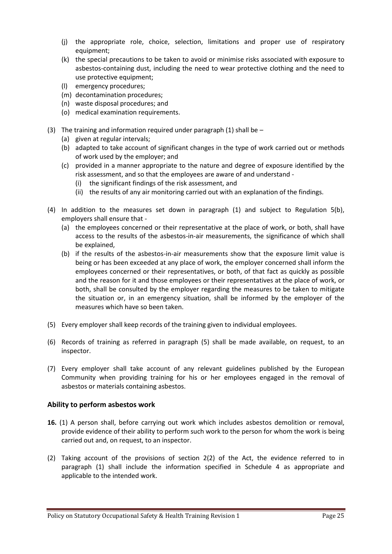- (j) the appropriate role, choice, selection, limitations and proper use of respiratory equipment;
- (k) the special precautions to be taken to avoid or minimise risks associated with exposure to asbestos-containing dust, including the need to wear protective clothing and the need to use protective equipment;
- (l) emergency procedures;
- (m) decontamination procedures;
- (n) waste disposal procedures; and
- (o) medical examination requirements.
- (3) The training and information required under paragraph (1) shall be  $-$ 
	- (a) given at regular intervals;
	- (b) adapted to take account of significant changes in the type of work carried out or methods of work used by the employer; and
	- (c) provided in a manner appropriate to the nature and degree of exposure identified by the risk assessment, and so that the employees are aware of and understand -
		- (i) the significant findings of the risk assessment, and
		- (ii) the results of any air monitoring carried out with an explanation of the findings.
- (4) In addition to the measures set down in paragraph (1) and subject to Regulation 5(b), employers shall ensure that -
	- (a) the employees concerned or their representative at the place of work, or both, shall have access to the results of the asbestos-in-air measurements, the significance of which shall be explained,
	- (b) if the results of the asbestos-in-air measurements show that the exposure limit value is being or has been exceeded at any place of work, the employer concerned shall inform the employees concerned or their representatives, or both, of that fact as quickly as possible and the reason for it and those employees or their representatives at the place of work, or both, shall be consulted by the employer regarding the measures to be taken to mitigate the situation or, in an emergency situation, shall be informed by the employer of the measures which have so been taken.
- (5) Every employer shall keep records of the training given to individual employees.
- (6) Records of training as referred in paragraph (5) shall be made available, on request, to an inspector.
- (7) Every employer shall take account of any relevant guidelines published by the European Community when providing training for his or her employees engaged in the removal of asbestos or materials containing asbestos.

#### **Ability to perform asbestos work**

- **16.** (1) A person shall, before carrying out work which includes asbestos demolition or removal, provide evidence of their ability to perform such work to the person for whom the work is being carried out and, on request, to an inspector.
- (2) Taking account of the provisions of section 2(2) of the Act, the evidence referred to in paragraph (1) shall include the information specified in Schedule 4 as appropriate and applicable to the intended work.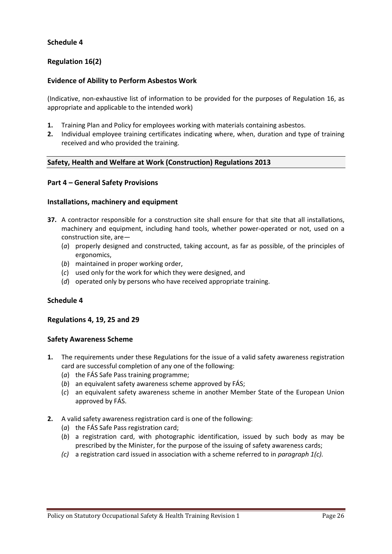#### **Schedule 4**

#### **Regulation 16(2)**

#### **Evidence of Ability to Perform Asbestos Work**

(Indicative, non-exhaustive list of information to be provided for the purposes of Regulation 16, as appropriate and applicable to the intended work)

- **1.** Training Plan and Policy for employees working with materials containing asbestos.
- **2.** Individual employee training certificates indicating where, when, duration and type of training received and who provided the training.

#### **Safety, Health and Welfare at Work (Construction) Regulations 2013**

#### **Part 4 – General Safety Provisions**

#### **Installations, machinery and equipment**

- **37.** A contractor responsible for a construction site shall ensure for that site that all installations, machinery and equipment, including hand tools, whether power-operated or not, used on a construction site, are—
	- (*a*) properly designed and constructed, taking account, as far as possible, of the principles of ergonomics,
	- (*b*) maintained in proper working order,
	- (*c*) used only for the work for which they were designed, and
	- (*d*) operated only by persons who have received appropriate training.

#### **Schedule 4**

#### **Regulations 4, 19, 25 and 29**

#### **Safety Awareness Scheme**

- **1.** The requirements under these Regulations for the issue of a valid safety awareness registration card are successful completion of any one of the following:
	- (*a*) the FÁS Safe Pass training programme;
	- (*b*) an equivalent safety awareness scheme approved by FÁS;
	- (*c*) an equivalent safety awareness scheme in another Member State of the European Union approved by FÁS.
- **2.** A valid safety awareness registration card is one of the following:
	- (*a*) the FÁS Safe Pass registration card;
	- (*b*) a registration card, with photographic identification, issued by such body as may be prescribed by the Minister, for the purpose of the issuing of safety awareness cards;
	- *(c)* a registration card issued in association with a scheme referred to in *paragraph 1(c).*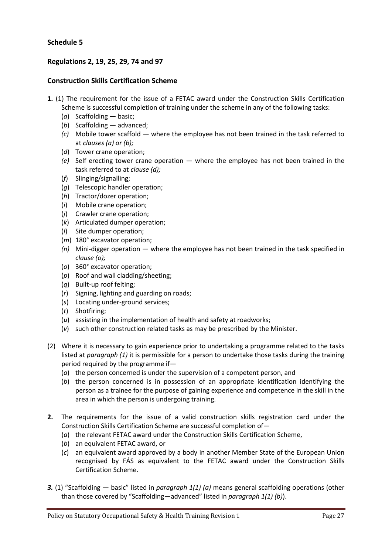#### **Schedule 5**

## **Regulations 2, 19, 25, 29, 74 and 97**

#### **Construction Skills Certification Scheme**

- **1.** (1) The requirement for the issue of a FETAC award under the Construction Skills Certification Scheme is successful completion of training under the scheme in any of the following tasks:
	- (*a*) Scaffolding basic;
	- (*b*) Scaffolding advanced;
	- *(c)* Mobile tower scaffold where the employee has not been trained in the task referred to at *clauses (a) or (b);*
	- (*d*) Tower crane operation;
	- *(e)* Self erecting tower crane operation where the employee has not been trained in the task referred to at *clause (d);*
	- (*f*) Slinging/signalling;
	- (*g*) Telescopic handler operation;
	- (*h*) Tractor/dozer operation;
	- (*i*) Mobile crane operation;
	- (*j*) Crawler crane operation;
	- (*k*) Articulated dumper operation;
	- (*l*) Site dumper operation;
	- (*m*) 180° excavator operation;
	- *(n)* Mini-digger operation where the employee has not been trained in the task specified in *clause (o);*
	- (*o*) 360° excavator operation;
	- (*p*) Roof and wall cladding/sheeting;
	- (*q*) Built-up roof felting;
	- (*r*) Signing, lighting and guarding on roads;
	- (*s*) Locating under-ground services;
	- (*t*) Shotfiring;
	- (*u*) assisting in the implementation of health and safety at roadworks;
	- (*v*) such other construction related tasks as may be prescribed by the Minister.
- (2) Where it is necessary to gain experience prior to undertaking a programme related to the tasks listed at *paragraph (1)* it is permissible for a person to undertake those tasks during the training period required by the programme if—
	- (*a*) the person concerned is under the supervision of a competent person, and
	- (*b*) the person concerned is in possession of an appropriate identification identifying the person as a trainee for the purpose of gaining experience and competence in the skill in the area in which the person is undergoing training.
- **2.** The requirements for the issue of a valid construction skills registration card under the Construction Skills Certification Scheme are successful completion of—
	- (*a*) the relevant FETAC award under the Construction Skills Certification Scheme,
	- (*b*) an equivalent FETAC award, or
	- (*c*) an equivalent award approved by a body in another Member State of the European Union recognised by FÁS as equivalent to the FETAC award under the Construction Skills Certification Scheme.
- *3.* (1) "Scaffolding basic" listed in *paragraph 1(1) (a)* means general scaffolding operations (other than those covered by "Scaffolding—advanced" listed in *paragraph 1(1) (b)*).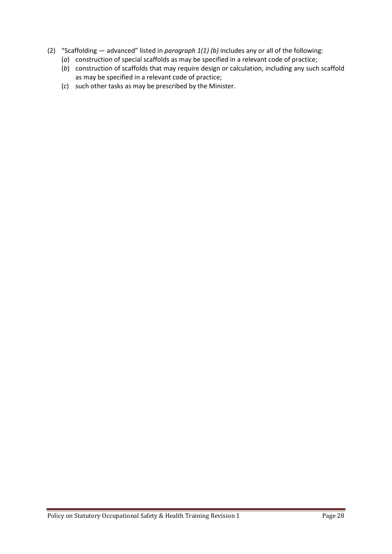- (2) "Scaffolding advanced" listed in *paragraph 1(1) (b)* includes any or all of the following:
	- (*a*) construction of special scaffolds as may be specified in a relevant code of practice;
	- (*b*) construction of scaffolds that may require design or calculation, including any such scaffold as may be specified in a relevant code of practice;
	- (*c*) such other tasks as may be prescribed by the Minister.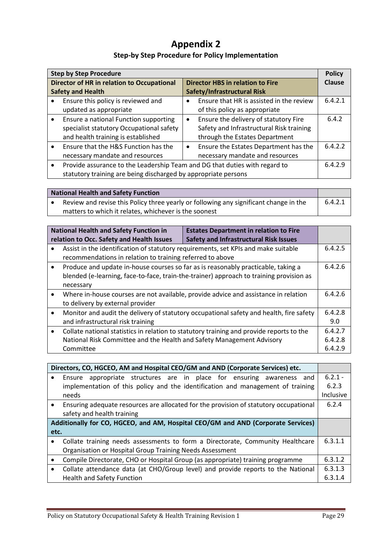# **Appendix 2**

# **Step-by Step Procedure for Policy Implementation**

| <b>Step by Step Procedure</b> |                                                                            |                                         | <b>Policy</b>                            |         |
|-------------------------------|----------------------------------------------------------------------------|-----------------------------------------|------------------------------------------|---------|
|                               | Director of HR in relation to Occupational                                 | <b>Director HBS in relation to Fire</b> |                                          | Clause  |
|                               | <b>Safety and Health</b>                                                   | Safety/Infrastructural Risk             |                                          |         |
|                               | Ensure this policy is reviewed and                                         | $\bullet$                               | Ensure that HR is assisted in the review | 6.4.2.1 |
|                               | updated as appropriate                                                     |                                         | of this policy as appropriate            |         |
| $\bullet$                     | Ensure a national Function supporting                                      | ٠                                       | Ensure the delivery of statutory Fire    | 6.4.2   |
|                               | specialist statutory Occupational safety                                   |                                         | Safety and Infrastructural Risk training |         |
|                               | and health training is established                                         |                                         | through the Estates Department           |         |
|                               | Ensure that the H&S Function has the                                       | $\bullet$                               | Ensure the Estates Department has the    | 6.4.2.2 |
|                               | necessary mandate and resources                                            |                                         | necessary mandate and resources          |         |
| $\bullet$                     | Provide assurance to the Leadership Team and DG that duties with regard to |                                         | 6.4.2.9                                  |         |
|                               | statutory training are being discharged by appropriate persons             |                                         |                                          |         |

| <b>National Health and Safety Function</b> |                                                                                       |         |
|--------------------------------------------|---------------------------------------------------------------------------------------|---------|
|                                            | Review and revise this Policy three yearly or following any significant change in the | 6.4.2.1 |
|                                            | matters to which it relates, whichever is the soonest                                 |         |

|           | <b>National Health and Safety Function in</b><br>relation to Occ. Safety and Health Issues                                                                                                | <b>Estates Department in relation to Fire</b><br><b>Safety and Infrastructural Risk Issues</b> |                               |
|-----------|-------------------------------------------------------------------------------------------------------------------------------------------------------------------------------------------|------------------------------------------------------------------------------------------------|-------------------------------|
|           | Assist in the identification of statutory requirements, set KPIs and make suitable<br>recommendations in relation to training referred to above                                           |                                                                                                | 6.4.2.5                       |
| $\bullet$ | Produce and update in-house courses so far as is reasonably practicable, taking a<br>blended (e-learning, face-to-face, train-the-trainer) approach to training provision as<br>necessary |                                                                                                |                               |
| ٠         | to delivery by external provider                                                                                                                                                          | Where in-house courses are not available, provide advice and assistance in relation            | 6.4.2.6                       |
| $\bullet$ | and infrastructural risk training                                                                                                                                                         | Monitor and audit the delivery of statutory occupational safety and health, fire safety        | 6.4.2.8<br>9.0                |
| $\bullet$ | National Risk Committee and the Health and Safety Management Advisory<br>Committee                                                                                                        | Collate national statistics in relation to statutory training and provide reports to the       | 6.4.2.7<br>6.4.2.8<br>6.4.2.9 |

|                                                                                  | Directors, CO, HGCEO, AM and Hospital CEO/GM and AND (Corporate Services) etc.        |           |
|----------------------------------------------------------------------------------|---------------------------------------------------------------------------------------|-----------|
|                                                                                  | appropriate structures are in place for ensuring awareness and<br>Ensure              | $6.2.1 -$ |
|                                                                                  | implementation of this policy and the identification and management of training       | 6.2.3     |
|                                                                                  | needs                                                                                 | Inclusive |
| $\bullet$                                                                        | Ensuring adequate resources are allocated for the provision of statutory occupational | 6.2.4     |
|                                                                                  | safety and health training                                                            |           |
| Additionally for CO, HGCEO, and AM, Hospital CEO/GM and AND (Corporate Services) |                                                                                       |           |
| etc.                                                                             |                                                                                       |           |
|                                                                                  | Collate training needs assessments to form a Directorate, Community Healthcare        | 6.3.1.1   |
|                                                                                  | Organisation or Hospital Group Training Needs Assessment                              |           |
| $\bullet$                                                                        | Compile Directorate, CHO or Hospital Group (as appropriate) training programme        | 6.3.1.2   |
| $\bullet$                                                                        | Collate attendance data (at CHO/Group level) and provide reports to the National      | 6.3.1.3   |
|                                                                                  | <b>Health and Safety Function</b>                                                     | 6.3.1.4   |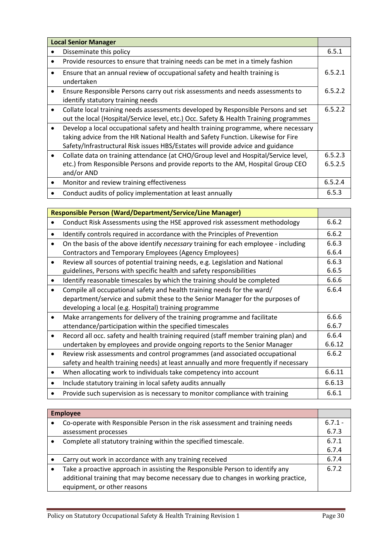|           | <b>Local Senior Manager</b>                                                                                                                                                                                                                               |                    |
|-----------|-----------------------------------------------------------------------------------------------------------------------------------------------------------------------------------------------------------------------------------------------------------|--------------------|
| $\bullet$ | Disseminate this policy                                                                                                                                                                                                                                   | 6.5.1              |
| $\bullet$ | Provide resources to ensure that training needs can be met in a timely fashion                                                                                                                                                                            |                    |
| ٠         | Ensure that an annual review of occupational safety and health training is<br>undertaken                                                                                                                                                                  | 6.5.2.1            |
| $\bullet$ | Ensure Responsible Persons carry out risk assessments and needs assessments to<br>identify statutory training needs                                                                                                                                       | 6.5.2.2            |
| $\bullet$ | Collate local training needs assessments developed by Responsible Persons and set<br>out the local (Hospital/Service level, etc.) Occ. Safety & Health Training programmes                                                                                | 6.5.2.2            |
| $\bullet$ | Develop a local occupational safety and health training programme, where necessary<br>taking advice from the HR National Health and Safety Function. Likewise for Fire<br>Safety/Infrastructural Risk issues HBS/Estates will provide advice and guidance |                    |
| $\bullet$ | Collate data on training attendance (at CHO/Group level and Hospital/Service level,<br>etc.) from Responsible Persons and provide reports to the AM, Hospital Group CEO<br>and/or AND                                                                     | 6.5.2.3<br>6.5.2.5 |
| $\bullet$ | Monitor and review training effectiveness                                                                                                                                                                                                                 | 6.5.2.4            |
| ٠         | Conduct audits of policy implementation at least annually                                                                                                                                                                                                 | 6.5.3              |

|           | Responsible Person (Ward/Department/Service/Line Manager)                            |        |
|-----------|--------------------------------------------------------------------------------------|--------|
|           | Conduct Risk Assessments using the HSE approved risk assessment methodology          | 6.6.2  |
|           | Identify controls required in accordance with the Principles of Prevention           | 6.6.2  |
|           | On the basis of the above identify necessary training for each employee - including  | 6.6.3  |
|           | Contractors and Temporary Employees (Agency Employees)                               | 6.6.4  |
| $\bullet$ | Review all sources of potential training needs, e.g. Legislation and National        | 6.6.3  |
|           | guidelines, Persons with specific health and safety responsibilities                 | 6.6.5  |
| ٠         | Identify reasonable timescales by which the training should be completed             | 6.6.6  |
|           | Compile all occupational safety and health training needs for the ward/              | 6.6.4  |
|           | department/service and submit these to the Senior Manager for the purposes of        |        |
|           | developing a local (e.g. Hospital) training programme                                |        |
| $\bullet$ | Make arrangements for delivery of the training programme and facilitate              | 6.6.6  |
|           | attendance/participation within the specified timescales                             | 6.6.7  |
| $\bullet$ | Record all occ. safety and health training required (staff member training plan) and | 6.6.4  |
|           | undertaken by employees and provide ongoing reports to the Senior Manager            | 6.6.12 |
|           | Review risk assessments and control programmes (and associated occupational          | 6.6.2  |
|           | safety and health training needs) at least annually and more frequently if necessary |        |
| ٠         | When allocating work to individuals take competency into account                     | 6.6.11 |
|           | Include statutory training in local safety audits annually                           | 6.6.13 |
|           | Provide such supervision as is necessary to monitor compliance with training         | 6.6.1  |

| <b>Employee</b> |                                                                                   |           |
|-----------------|-----------------------------------------------------------------------------------|-----------|
|                 | Co-operate with Responsible Person in the risk assessment and training needs      | $6.7.1 -$ |
|                 | assessment processes                                                              | 6.7.3     |
|                 | Complete all statutory training within the specified timescale.                   | 6.7.1     |
|                 |                                                                                   | 6.7.4     |
|                 | Carry out work in accordance with any training received                           | 6.7.4     |
|                 | Take a proactive approach in assisting the Responsible Person to identify any     | 6.7.2     |
|                 | additional training that may become necessary due to changes in working practice, |           |
|                 | equipment, or other reasons                                                       |           |